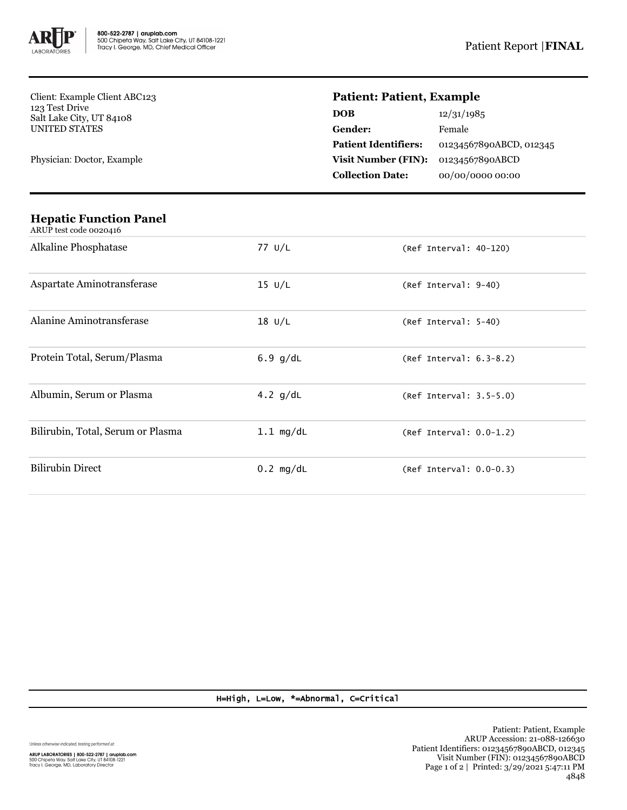

Client: Example Client ABC123 123 Test Drive Salt Lake City, UT 84108 UNITED STATES

Physician: Doctor, Example

## **Patient: Patient, Example**

| 12/31/1985              |
|-------------------------|
| Female                  |
| 01234567890ABCD, 012345 |
| 01234567890ABCD         |
| 00/00/0000 00:00        |
|                         |

| <b>Hepatic Function Panel</b><br>ARUP test code 0020416 |                  |                           |
|---------------------------------------------------------|------------------|---------------------------|
| Alkaline Phosphatase                                    | 77 U/L           | $(Ref Interval: 40-120)$  |
| Aspartate Aminotransferase                              | $15 \text{ U/L}$ | (Ref Interval: 9-40)      |
| Alanine Aminotransferase                                | $18$ U/L         | (Ref Interval: 5-40)      |
| Protein Total, Serum/Plasma                             | $6.9$ g/dL       | (Ref Interval: 6.3-8.2)   |
| Albumin, Serum or Plasma                                | 4.2 $g/dL$       | (Ref Interval: 3.5-5.0)   |
| Bilirubin, Total, Serum or Plasma                       | $1.1$ mg/dL      | $(Ref Interval: 0.0-1.2)$ |
| <b>Bilirubin Direct</b>                                 | $0.2$ mg/dL      | $(Ref Interval: 0.0-0.3)$ |

## H=High, L=Low, \*=Abnormal, C=Critical

Unless otherwise indicated, testing performed at: